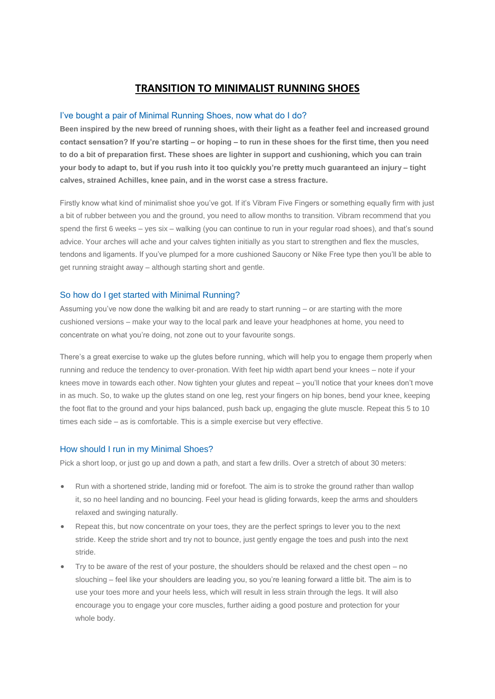# **TRANSITION TO MINIMALIST RUNNING SHOES**

#### I've bought a pair of Minimal Running Shoes, now what do I do?

**Been inspired by the new breed of running shoes, with their light as a feather feel and increased ground contact sensation? If you're starting – or hoping – to run in these shoes for the first time, then you need to do a bit of preparation first. These shoes are lighter in support and cushioning, which you can train your body to adapt to, but if you rush into it too quickly you're pretty much guaranteed an injury – tight calves, strained Achilles, knee pain, and in the worst case a stress fracture.**

Firstly know what kind of minimalist shoe you've got. If it's Vibram Five Fingers or something equally firm with just a bit of rubber between you and the ground, you need to allow months to transition. Vibram recommend that you spend the first 6 weeks – yes six – walking (you can continue to run in your regular road shoes), and that's sound advice. Your arches will ache and your calves tighten initially as you start to strengthen and flex the muscles, tendons and ligaments. If you've plumped for a more cushioned Saucony or Nike Free type then you'll be able to get running straight away – although starting short and gentle.

#### So how do I get started with Minimal Running?

Assuming you've now done the walking bit and are ready to start running – or are starting with the more cushioned versions – make your way to the local park and leave your headphones at home, you need to concentrate on what you're doing, not zone out to your favourite songs.

There's a great exercise to wake up the glutes before running, which will help you to engage them properly when running and reduce the tendency to over-pronation. With feet hip width apart bend your knees – note if your knees move in towards each other. Now tighten your glutes and repeat – you'll notice that your knees don't move in as much. So, to wake up the glutes stand on one leg, rest your fingers on hip bones, bend your knee, keeping the foot flat to the ground and your hips balanced, push back up, engaging the glute muscle. Repeat this 5 to 10 times each side – as is comfortable. This is a simple exercise but very effective.

#### How should I run in my Minimal Shoes?

Pick a short loop, or just go up and down a path, and start a few drills. Over a stretch of about 30 meters:

- Run with a shortened stride, landing mid or forefoot. The aim is to stroke the ground rather than wallop it, so no heel landing and no bouncing. Feel your head is gliding forwards, keep the arms and shoulders relaxed and swinging naturally.
- Repeat this, but now concentrate on your toes, they are the perfect springs to lever you to the next stride. Keep the stride short and try not to bounce, just gently engage the toes and push into the next stride.
- Try to be aware of the rest of your posture, the shoulders should be relaxed and the chest open no slouching – feel like your shoulders are leading you, so you're leaning forward a little bit. The aim is to use your toes more and your heels less, which will result in less strain through the legs. It will also encourage you to engage your core muscles, further aiding a good posture and protection for your whole body.